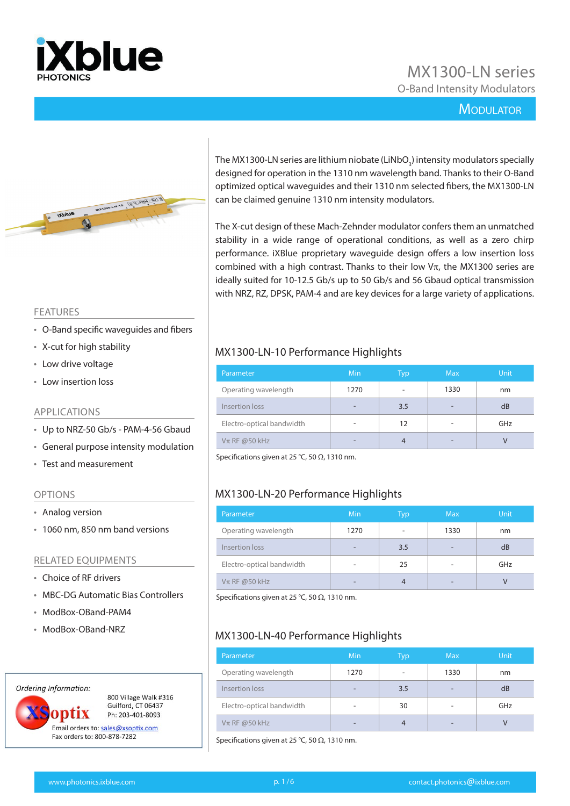

# MX1300-LN series O-Band Intensity Modulators

#### **MODULATOR**



#### FEATURES

- O-Band specific waveguides and fibers
- X-cut for high stability
- Low drive voltage
- Low insertion loss

#### APPLICATIONS

- Up to NRZ-50 Gb/s PAM-4-56 Gbaud
- General purpose intensity modulation
- Test and measurement

#### OPTIONS

- Analog version
- 1060 nm, 850 nm band versions

#### RELATED EQUIPMENTS

- Choice of RF drivers
- MBC-DG Automatic Bias Controllers
- ModBox-OBand-PAM4
- ModBox-OBand-NRZ

#### Ordering Information:



800 Village Walk #316 Guilford, CT 06437 Ph: 203-401-8093

Email orders to: sales@xsoptix.com Fax orders to: 800-878-7282

The MX1300-LN series are lithium niobate (LiNbO<sub>3</sub>) intensity modulators specially designed for operation in the 1310 nm wavelength band. Thanks to their O-Band optimized optical waveguides and their 1310 nm selected fibers, the MX1300-LN can be claimed genuine 1310 nm intensity modulators.

The X-cut design of these Mach-Zehnder modulator confers them an unmatched stability in a wide range of operational conditions, as well as a zero chirp performance. iXBlue proprietary waveguide design offers a low insertion loss combined with a high contrast. Thanks to their low  $V\pi$ , the MX1300 series are ideally suited for 10-12.5 Gb/s up to 50 Gb/s and 56 Gbaud optical transmission with NRZ, RZ, DPSK, PAM-4 and are key devices for a large variety of applications.

#### MX1300-LN-10 Performance Highlights

| Parameter                 | Min  | Typ | <b>Max</b>               | <b>Unit</b> |
|---------------------------|------|-----|--------------------------|-------------|
| Operating wavelength      | 1270 |     | 1330                     | nm          |
| Insertion loss            | -    | 3.5 | $\overline{\phantom{a}}$ | dB          |
| Electro-optical bandwidth | ۰    | 12  | $\overline{\phantom{a}}$ | GHz         |
| $V\pi$ RF @50 kHz         | -    |     | $\overline{\phantom{0}}$ |             |

Specifications given at 25 °C, 50  $Ω$ , 1310 nm.

## MX1300-LN-20 Performance Highlights

| Parameter                 | Min                      | Typ | <b>Max</b>               | <b>Unit</b> |
|---------------------------|--------------------------|-----|--------------------------|-------------|
| Operating wavelength      | 1270                     |     | 1330                     | nm          |
| Insertion loss            | $\overline{\phantom{a}}$ | 3.5 | -                        | dB          |
| Electro-optical bandwidth | $\overline{\phantom{a}}$ | 25  | $\overline{\phantom{a}}$ | GHz         |
| $V\pi$ RF @50 kHz         | $\overline{\phantom{0}}$ |     | -                        | V           |

Specifications given at 25 °C, 50  $\Omega$ , 1310 nm.

#### MX1300-LN-40 Performance Highlights

| Parameter                 | Min                      | Typ                          | <b>Max</b> | <b>Unit</b> |
|---------------------------|--------------------------|------------------------------|------------|-------------|
| Operating wavelength      | 1270                     | $\qquad \qquad \blacksquare$ | 1330       | nm          |
| Insertion loss            | $\overline{\phantom{0}}$ | 3.5                          | -          | dB          |
| Electro-optical bandwidth | $\overline{\phantom{a}}$ | 30                           | ۰          | GHz         |
| $V\pi$ RF @50 kHz         | $\overline{\phantom{a}}$ | 4                            | -          |             |

Specifications given at 25 °C, 50  $\Omega$ , 1310 nm.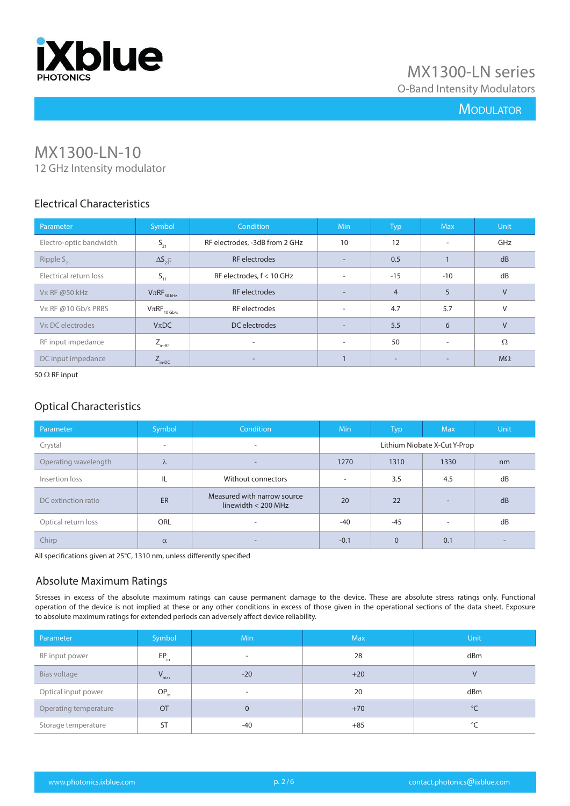

## **MODULATOR**

# MX1300-LN-10

12 GHz Intensity modulator

## Electrical Characteristics

| Parameter               | Symbol                      | <b>Condition</b>               | Min                      | Typ                      | <b>Max</b>               | <b>Unit</b> |
|-------------------------|-----------------------------|--------------------------------|--------------------------|--------------------------|--------------------------|-------------|
| Electro-optic bandwidth | $S_{21}$                    | RF electrodes, -3dB from 2 GHz | 10                       | 12                       | $\overline{\phantom{a}}$ | GHz         |
| Ripple $S_{21}$         | $\Delta S_{\rm 2}$          | <b>RF</b> electrodes           | $\overline{\phantom{a}}$ | 0.5                      |                          | dB          |
| Electrical return loss  | $S_{11}$                    | RF electrodes, $f < 10$ GHz    | $\overline{\phantom{a}}$ | $-15$                    | $-10$                    | dB          |
| $V\pi$ RF @50 kHz       | $V\pi RF_{50\,kHz}$         | <b>RF</b> electrodes           | $\overline{\phantom{a}}$ | $\overline{4}$           | 5                        | $\vee$      |
| $V$ π RF @10 Gb/s PRBS  | $V\pi RF_{10\,\text{Gb/s}}$ | RF electrodes                  | $\overline{\phantom{a}}$ | 4.7                      | 5.7                      | $\vee$      |
| $V\pi$ DC electrodes    | $V_{\pi}DC$                 | DC electrodes                  | $\overline{\phantom{a}}$ | 5.5                      | 6                        | $\vee$      |
| RF input impedance      | $Z_{_{\text{in-RF}}}$       |                                | $\overline{\phantom{a}}$ | 50                       | $\overline{\phantom{a}}$ | Ω           |
| DC input impedance      | $Z_{\text{in-DC}}$          | $\overline{\phantom{a}}$       |                          | $\overline{\phantom{a}}$ | $\overline{\phantom{a}}$ | $M\Omega$   |

50  $\Omega$  RF input

#### Optical Characteristics

| Parameter            | Symbol   | <b>Condition</b>                                     | <b>Min</b>                   | <b>Typ</b> | <b>Max</b>               | <b>Unit</b> |  |
|----------------------|----------|------------------------------------------------------|------------------------------|------------|--------------------------|-------------|--|
| Crystal              | $\sim$   | $\overline{\phantom{a}}$                             | Lithium Niobate X-Cut Y-Prop |            |                          |             |  |
| Operating wavelength | λ        |                                                      | 1270                         | 1310       | 1330                     | nm          |  |
| Insertion loss       | IL       | Without connectors                                   | $\overline{\phantom{a}}$     | 3.5        | 4.5                      | dB          |  |
| DC extinction ratio  | ER       | Measured with narrow source<br>linewidth $<$ 200 MHz | 20                           | 22         | $\overline{\phantom{a}}$ | dB          |  |
| Optical return loss  | ORL      | $\overline{\phantom{a}}$                             | $-40$                        | -45        | $\overline{\phantom{a}}$ | dB          |  |
| Chirp                | $\alpha$ | $\overline{\phantom{0}}$                             | $-0.1$                       | $\Omega$   | 0.1                      |             |  |

All specifications given at 25°C, 1310 nm, unless differently specified

## Absolute Maximum Ratings

Stresses in excess of the absolute maximum ratings can cause permanent damage to the device. These are absolute stress ratings only. Functional operation of the device is not implied at these or any other conditions in excess of those given in the operational sections of the data sheet. Exposure to absolute maximum ratings for extended periods can adversely affect device reliability.

| Parameter             | Symbol     | <b>Min</b>               | <b>Max</b> | <b>Unit</b> |
|-----------------------|------------|--------------------------|------------|-------------|
| RF input power        | $EP_{in}$  | $\overline{\phantom{a}}$ | 28         | dBm         |
| Bias voltage          | $V_{bias}$ | $-20$                    | $+20$      | $\vee$      |
| Optical input power   | $OP_{in}$  | $\overline{\phantom{a}}$ | 20         | dBm         |
| Operating temperature | OT         | $\Omega$                 | $+70$      | $^{\circ}C$ |
| Storage temperature   | <b>ST</b>  | $-40$                    | $+85$      | °C          |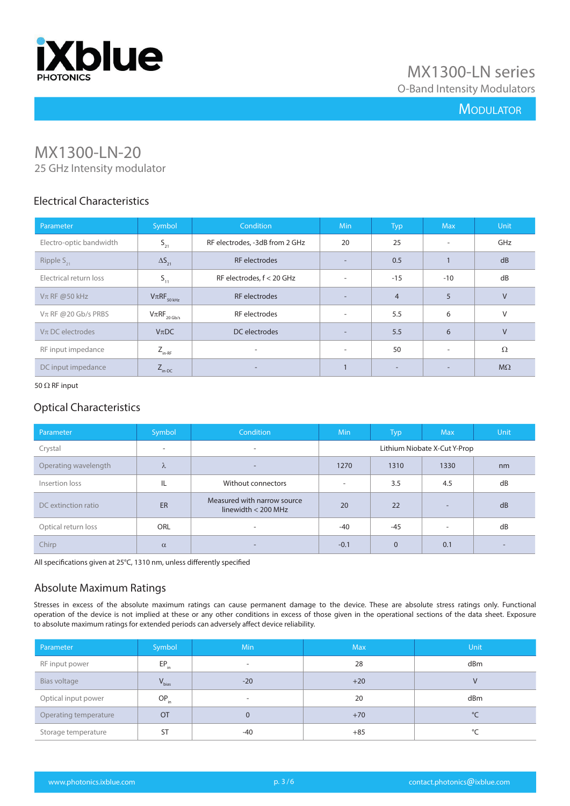

## **MODULATOR**

# MX1300-LN-20

25 GHz Intensity modulator

### Electrical Characteristics

| Parameter               | Symbol                      | <b>Condition</b>               | <b>Min</b>               | Typ                      | <b>Max</b>               | Unit      |
|-------------------------|-----------------------------|--------------------------------|--------------------------|--------------------------|--------------------------|-----------|
| Electro-optic bandwidth | $S_{21}$                    | RF electrodes, -3dB from 2 GHz | 20                       | 25                       |                          | GHz       |
| Ripple $S_{21}$         | $\Delta S_{21}$             | <b>RF</b> electrodes           | $\overline{\phantom{a}}$ | 0.5                      |                          | dB        |
| Electrical return loss  | $S_{11}$                    | RF electrodes, $f < 20$ GHz    | $\overline{\phantom{a}}$ | $-15$                    | $-10$                    | dB        |
| $V\pi$ RF @50 kHz       | $V\pi RF_{50\,kHz}$         | <b>RF</b> electrodes           | $\overline{\phantom{a}}$ | $\overline{4}$           | 5                        | $\vee$    |
| $V$ π RF @20 Gb/s PRBS  | $V\pi RF_{20\,\text{Gb/s}}$ | RF electrodes                  | $\overline{\phantom{a}}$ | 5.5                      | 6                        | $\vee$    |
| $V\pi$ DC electrodes    | $V_{\pi}DC$                 | DC electrodes                  | $\overline{\phantom{a}}$ | 5.5                      | 6                        | $\vee$    |
| RF input impedance      | $Z_{_{\text{in-RF}}}$       | $\overline{\phantom{a}}$       | $\overline{\phantom{a}}$ | 50                       | $\overline{\phantom{a}}$ | Ω         |
| DC input impedance      | $Z_{\text{in-DC}}$          | $\overline{\phantom{0}}$       |                          | $\overline{\phantom{a}}$ |                          | $M\Omega$ |

#### 50  $\Omega$  RF input

### Optical Characteristics

| Parameter            | Symbol    | <b>Condition</b>                                     | <b>Min</b>                   | <b>Typ</b> | <b>Max</b>               | <b>Unit</b> |
|----------------------|-----------|------------------------------------------------------|------------------------------|------------|--------------------------|-------------|
| Crystal              | $\sim$    | ۰                                                    | Lithium Niobate X-Cut Y-Prop |            |                          |             |
| Operating wavelength | $\lambda$ | ۰.                                                   | 1270                         | 1310       | 1330                     | nm          |
| Insertion loss       | IL        | Without connectors                                   | $\overline{\phantom{a}}$     | 3.5        | 4.5                      | dB          |
| DC extinction ratio  | ER        | Measured with narrow source<br>linewidth $<$ 200 MHz | 20                           | 22         | $\overline{\phantom{0}}$ | dB          |
| Optical return loss  | ORL       |                                                      | -40                          | $-45$      | $\overline{\phantom{a}}$ | dB          |
| Chirp                | $\alpha$  | ۰.                                                   | $-0.1$                       | $\Omega$   | 0.1                      |             |

All specifications given at 25°C, 1310 nm, unless differently specified

#### Absolute Maximum Ratings

Stresses in excess of the absolute maximum ratings can cause permanent damage to the device. These are absolute stress ratings only. Functional operation of the device is not implied at these or any other conditions in excess of those given in the operational sections of the data sheet. Exposure to absolute maximum ratings for extended periods can adversely affect device reliability.

| Parameter             | Symbol     | <b>Min</b>               | <b>Max</b> | <b>Unit</b> |
|-----------------------|------------|--------------------------|------------|-------------|
| RF input power        | $EP_{in}$  | $\overline{\phantom{a}}$ | 28         | dBm         |
| Bias voltage          | $V_{bias}$ | $-20$                    | $+20$      | V           |
| Optical input power   | $OP_{in}$  | $\overline{\phantom{a}}$ | 20         | dBm         |
| Operating temperature | OT         | $\Omega$                 | $+70$      | $^{\circ}C$ |
| Storage temperature   | <b>ST</b>  | -40                      | $+85$      | $\circ$     |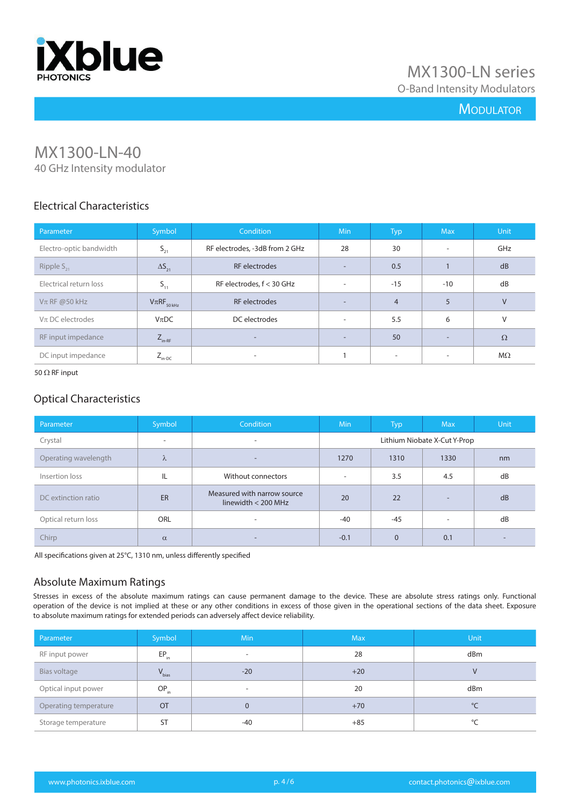

## **MODULATOR**

# MX1300-LN-40

40 GHz Intensity modulator

### Electrical Characteristics

| Parameter               | Symbol              | <b>Condition</b>               | <b>Min</b>               | <b>Typ</b>               | <b>Max</b>               | Unit      |
|-------------------------|---------------------|--------------------------------|--------------------------|--------------------------|--------------------------|-----------|
| Electro-optic bandwidth | $S_{21}$            | RF electrodes, -3dB from 2 GHz | 28                       | 30                       | $\overline{\phantom{a}}$ | GHz       |
| Ripple $S_{21}$         | $\Delta S_{21}$     | RF electrodes                  | ۰.                       | 0.5                      |                          | dB        |
| Electrical return loss  | $S_{11}$            | RF electrodes, $f < 30$ GHz    | $\overline{\phantom{a}}$ | $-15$                    | $-10$                    | dB        |
| $V\pi$ RF @50 kHz       | $V\pi RF_{50\,kHz}$ | RF electrodes                  | ۰.                       | $\overline{4}$           | 5                        | $\vee$    |
| $V\pi$ DC electrodes    | $V_{\pi}DC$         | DC electrodes                  | $\overline{\phantom{a}}$ | 5.5                      | 6                        | V         |
| RF input impedance      | $Z_{\text{in-RF}}$  | $\overline{\phantom{a}}$       | ۰.                       | 50                       |                          | $\Omega$  |
| DC input impedance      | $Z_{\text{in-DC}}$  | ٠                              |                          | $\overline{\phantom{a}}$ |                          | $M\Omega$ |

#### 50  $\Omega$  RF input

#### Optical Characteristics

| Parameter            | Symbol                   | Condition                                            | <b>Min</b>                   | <b>Typ</b> | <b>Max</b> | Unit |  |
|----------------------|--------------------------|------------------------------------------------------|------------------------------|------------|------------|------|--|
| Crystal              | $\overline{\phantom{a}}$ | $\overline{\phantom{a}}$                             | Lithium Niobate X-Cut Y-Prop |            |            |      |  |
| Operating wavelength | λ                        | ۰.                                                   | 1270                         | 1310       | 1330       | nm   |  |
| Insertion loss       | IL                       | Without connectors                                   | $\overline{\phantom{a}}$     | 3.5        | 4.5        | dB   |  |
| DC extinction ratio  | ER                       | Measured with narrow source<br>linewidth $<$ 200 MHz | 20                           | 22         | -          | dB   |  |
| Optical return loss  | ORL                      | ۰                                                    | $-40$                        | $-45$      | ۰          | dB   |  |
| Chirp                | $\alpha$                 | -                                                    | $-0.1$                       | $\Omega$   | 0.1        |      |  |

All specifications given at 25°C, 1310 nm, unless differently specified

#### Absolute Maximum Ratings

Stresses in excess of the absolute maximum ratings can cause permanent damage to the device. These are absolute stress ratings only. Functional operation of the device is not implied at these or any other conditions in excess of those given in the operational sections of the data sheet. Exposure to absolute maximum ratings for extended periods can adversely affect device reliability.

| Parameter             | Symbol     | <b>Min</b>               | <b>Max</b> | <b>Unit</b> |
|-----------------------|------------|--------------------------|------------|-------------|
| RF input power        | $EP_{in}$  | $\overline{\phantom{a}}$ | 28         | dBm         |
| Bias voltage          | $V_{bias}$ | $-20$                    | $+20$      | V           |
| Optical input power   | $OP_{in}$  | $\overline{\phantom{0}}$ | 20         | dBm         |
| Operating temperature | <b>OT</b>  | $\Omega$                 | $+70$      | $^{\circ}C$ |
| Storage temperature   | <b>ST</b>  | -40                      | $+85$      | $\circ$     |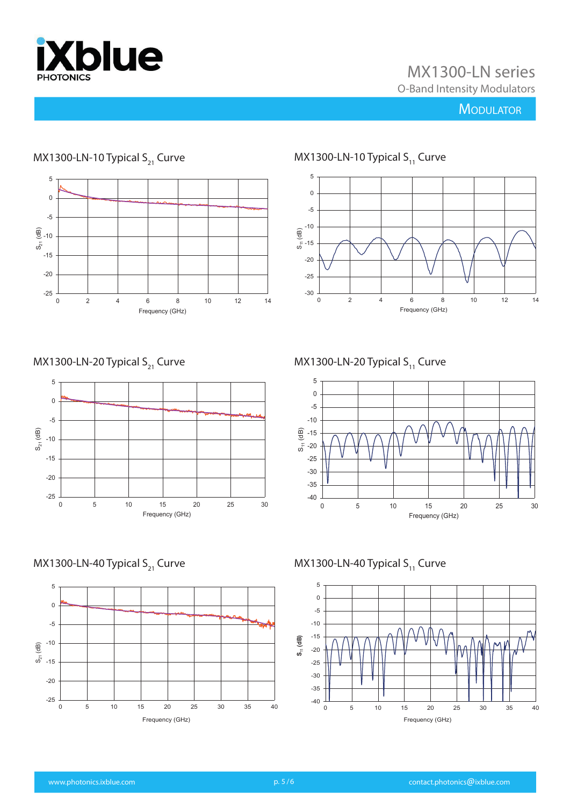

# MX1300-LN series O-Band Intensity Modulators

## **MODULATOR**



# MX1300-LN-10 Typical  $S_{21}$  Curve

MX1300-LN-20 Typical  $S_{21}$  Curve



MX1300-LN-40 Typical  $S_{21}$  Curve



-5 0

MX1300-LN-10 Typical  $S_{11}$  Curve

-30 -25 -20

<u>ေ</u><br>အိ-15 -10

5



0 2 4 6 8 10 12 14 Frequency (GHz)

MX1300-LN-40 Typical  $S_{11}$  Curve